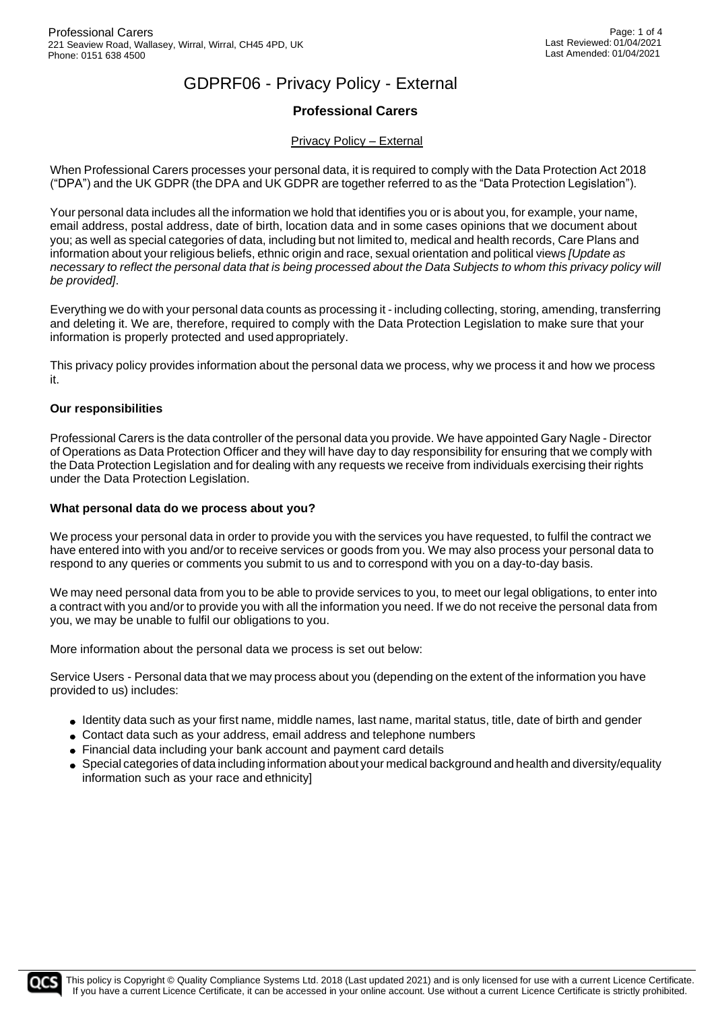## **Professional Carers**

#### Privacy Policy – External

When Professional Carers processes your personal data, it is required to comply with the Data Protection Act 2018 ("DPA") and the UK GDPR (the DPA and UK GDPR are together referred to as the "Data Protection Legislation").

Your personal data includes all the information we hold that identifies you or is about you, for example, your name, email address, postal address, date of birth, location data and in some cases opinions that we document about you; as well as special categories of data, including but not limited to, medical and health records, Care Plans and information about your religious beliefs, ethnic origin and race, sexual orientation and political views *[Update as* necessary to reflect the personal data that is being processed about the Data Subjects to whom this privacy policy will *be provided]*.

Everything we do with your personal data counts as processing it - including collecting, storing, amending, transferring and deleting it. We are, therefore, required to comply with the Data Protection Legislation to make sure that your information is properly protected and usedappropriately.

This privacy policy provides information about the personal data we process, why we process it and how we process it.

#### **Our responsibilities**

Professional Carers is the data controller of the personal data you provide. We have appointed Gary Nagle - Director of Operations as Data Protection Officer and they willhave day to day responsibility forensuring that wecomply with the Data Protection Legislation and for dealing with any requests we receive from individuals exercising their rights under the Data Protection Legislation.

#### **What personal data do we process about you?**

We process your personal data in order to provide you with the services you have requested, to fulfil the contract we have entered into with you and/or to receive services or goods from you. We may also process your personal data to respond to any queries or comments you submit to us and to correspond with you on a day-to-day basis.

We may need personal data from you to be able to provide services to you, to meet our legal obligations, to enter into a contract with you and/or to provide you with all the information you need. If we do not receive the personal data from you, we may be unable to fulfil our obligations to you.

More information about the personal data we process is set out below:

Service Users - Personal data that we may process about you (depending on the extent of the information you have provided to us) includes:

- Identity data such as your first name, middle names, last name, marital status, title, date of birth and gender
- Contact data such as your address, email address and telephone numbers
- Financial data including your bank account and payment card details
- Special categories of data including information about your medical background and health and diversity/equality information such as your race and ethnicity]

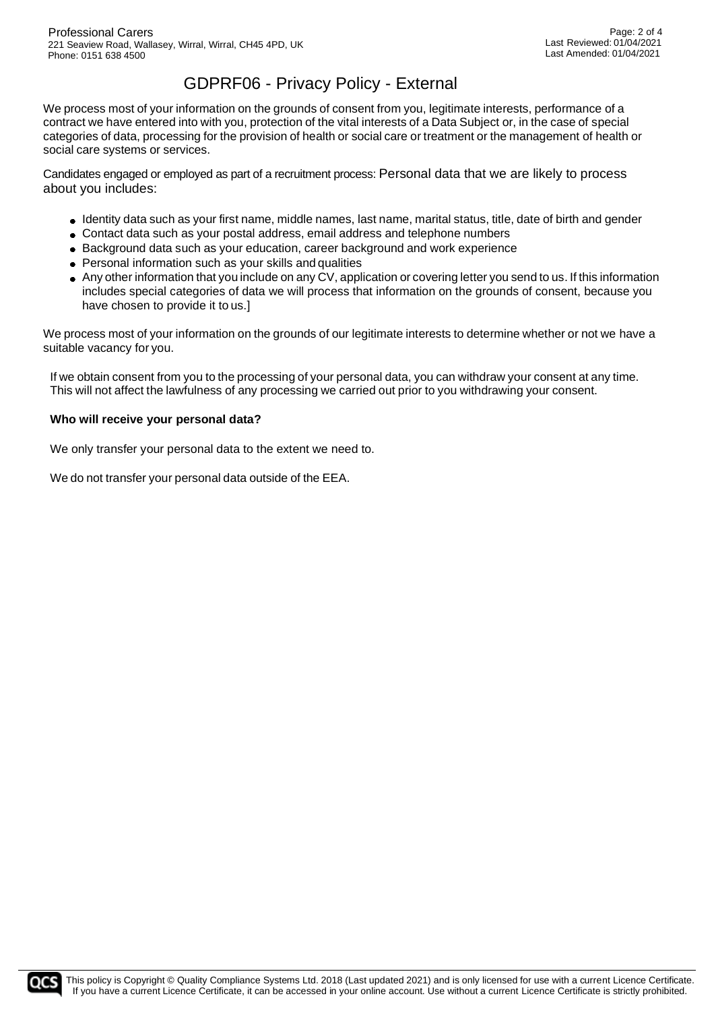We process most of your information on the grounds of consent from you, legitimate interests, performance of a contract we have entered into with you, protection of the vital interests of a Data Subject or, in the case of special categories ofdata, processing for the provision of health or social care or treatment or the management of health or social care systems or services.

Candidates engaged or employed as part of a recruitment process: Personal data that we are likely to process about you includes:

- Identity data such as your first name, middle names, last name, marital status, title, date of birth and gender
- Contact data such as your postal address, email address and telephone numbers
- Background data such as your education, career background and work experience
- Personal information such as your skills and qualities
- Any other information that you include on any CV, application or covering letter you send to us. If this information includes special categories of data we will process that information on the grounds of consent, because you have chosen to provide it to us.]

We process most of your information on the grounds of our legitimate interests to determine whether or not we have a suitable vacancy for you.

If we obtain consent from you to the processing of your personal data, you can withdraw your consent at any time. This will not affect the lawfulness of any processing we carried out prior to you withdrawing your consent.

#### **Who will receive your personal data?**

We only transfer your personal data to the extent we need to.

We do not transfer your personal data outside of the EEA.

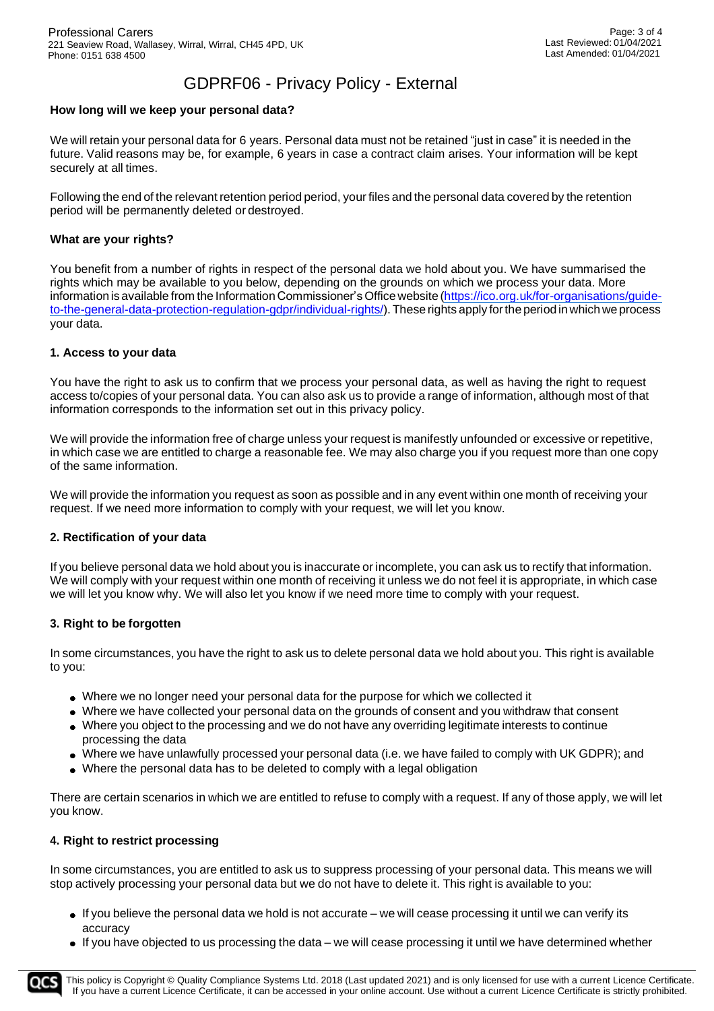## **How long will we keep your personal data?**

We will retain your personal data for 6 years. Personal data must not be retained "just in case" it is needed in the future. Valid reasons may be, for example, 6 years in case a contract claim arises. Your information will be kept securely at all times.

Following the end of the relevant retention period period, your files and the personal data covered by the retention period will be permanently deleted or destroyed.

## **What are your rights?**

You benefit from a number of rights in respect of the personal data we hold about you. We have summarised the rights which may be available to you below, depending on the grounds on which we process your data. More information is available from the Information Commissioner's Office website [\(https://ico.org.uk/for-organisations/guide](https://ico.org.uk/for-organisations/guide-to-the-general-data-protection-regulation-gdpr/individual-rights/)[to-the-general-data-protection-regulation-gdpr/individual-rights/\)](https://ico.org.uk/for-organisations/guide-to-the-general-data-protection-regulation-gdpr/individual-rights/). These rights apply for the period in which we process your data.

#### **1. Access to your data**

You have the right to ask us to confirm that we process your personal data, as well as having the right to request access to/copies of your personal data. You can also ask us to provide a range of information, although most of that information corresponds to the information set out in this privacy policy.

We will provide the information free of charge unless your request is manifestly unfounded or excessive or repetitive, in which case we are entitled to charge a reasonable fee. We may also charge you if you request more than one copy of the same information.

We will provide the information you request as soon as possible and in any event within one month of receiving your request. If we need more information to comply with your request, we will let you know.

## **2. Rectification of your data**

If you believe personal data we hold about you is inaccurate or incomplete, you can ask us to rectify that information. We will comply with your request within one month of receiving it unless we do not feel it is appropriate, in which case we will let you know why. We will also let you know if we need more time to comply with your request.

## **3. Right to be forgotten**

In some circumstances, you have the right to ask us to delete personal data we hold about you. This right is available to you:

- Where we no longer need your personal data for the purpose for which we collected it
- Where we have collected your personal data on the grounds of consent and you withdraw that consent
- Where you object to the processing and we do not have any overriding legitimate interests to continue processing the data
- Where we have unlawfully processed your personal data (i.e. we have failed to comply with UK GDPR); and
- Where the personal data has to be deleted to comply with a legal obligation

There are certain scenarios in which we are entitled to refuse to comply witha request. If anyof those apply, we will let you know.

## **4. Right to restrict processing**

In some circumstances, you are entitled to ask us to suppress processing of your personal data. This means we will stop actively processing your personal data but we do not have to delete it. This right is available to you:

- $\bullet$  If you believe the personal data we hold is not accurate we will cease processing it until we can verify its accuracy
- If you have objected to us processing the data we will cease processing it until we have determined whether